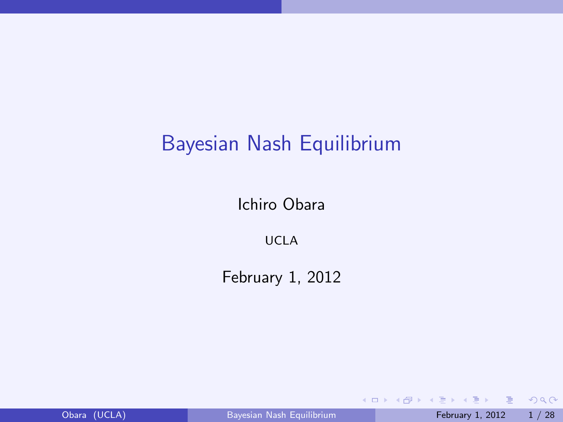# Bayesian Nash Equilibrium

Ichiro Obara

UCLA

February 1, 2012

- 19 Obara (UCLA) [Bayesian Nash Equilibrium](#page-27-0) February 1, 2012 1 / 28

<span id="page-0-0"></span> $2990$ 

すロト オ部 トメ 差 トメ 差 ト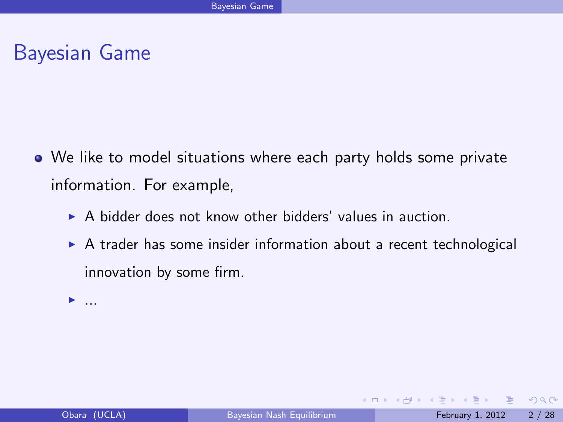- We like to model situations where each party holds some private information. For example,
	- $\triangleright$  A bidder does not know other bidders' values in auction.
	- $\triangleright$  A trader has some insider information about a recent technological innovation by some firm.

 $\blacktriangleright$  ...

目

 $\Omega$ 

- ④ ラ ス ヨ ト ス ヨ ト

4 0 8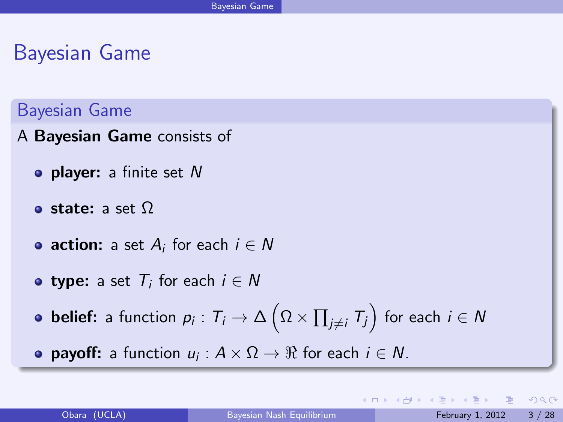#### Bayesian Game

- A Bayesian Game consists of
	- $\bullet$  player: a finite set N
	- **o** state: a set  $\Omega$
	- $\mathsf{action}\colon$  a set  $A_i$  for each  $i\in\mathsf{N}$
	- $\tt type:$  a set  $\mathcal{T}_i$  for each  $i \in \mathcal{N}$
	- **belief:** a function  $p_i: T_i \to \Delta\left(\Omega \times \prod_{j \neq i} T_j\right)$  for each  $i \in \mathcal{N}$
	- **payoff:** a function  $u_i: A \times \Omega \rightarrow \Re$  for each  $i \in N$ .

 $QQQ$ 

**≮ロト ⊀何ト ⊀ ヨト ⊀ ヨト**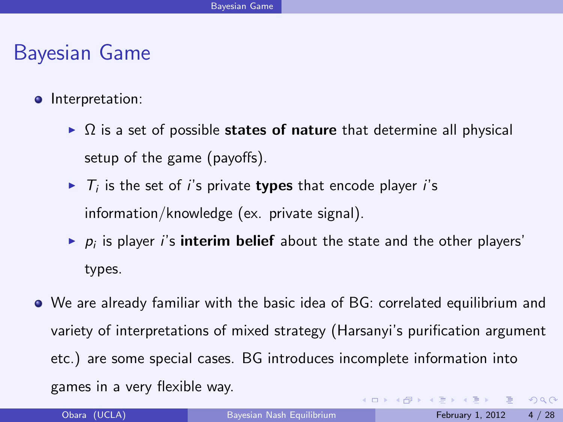- **·** Interpretation:
	- $\triangleright$   $\Omega$  is a set of possible states of nature that determine all physical setup of the game (payoffs).
	- $\blacktriangleright$   $\tau_i$  is the set of i's private types that encode player i's information/knowledge (ex. private signal).
	- $\blacktriangleright$   $p_i$  is player *i*'s **interim belief** about the state and the other players' types.
- We are already familiar with the basic idea of BG: correlated equilibrium and variety of interpretations of mixed strategy (Harsanyi's purification argument etc.) are some special cases. BG introduces incomplete information into games in a very flexible way.  $OQ$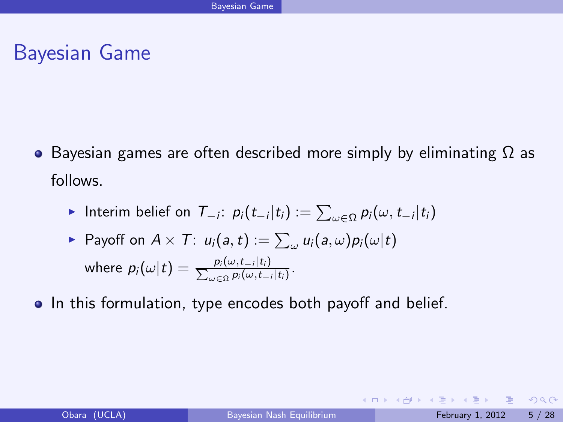**•** Bayesian games are often described more simply by eliminating  $\Omega$  as follows.

▶ Interim belief on 
$$
T_{-i}
$$
:  $p_i(t_{-i}|t_i) := \sum_{\omega \in \Omega} p_i(\omega, t_{-i}|t_i)$ 

► Payoff on 
$$
A \times T
$$
:  $u_i(a, t) := \sum_{\omega} u_i(a, \omega) p_i(\omega|t)$   
where  $p_i(\omega|t) = \frac{p_i(\omega, t_{-i}|t_i)}{\sum_{\omega \in \Omega} p_i(\omega, t_{-i}|t_i)}$ .

• In this formulation, type encodes both payoff and belief.

**E** 

 $ORO$ 

イロト イ部 トイ君 トイ君 ト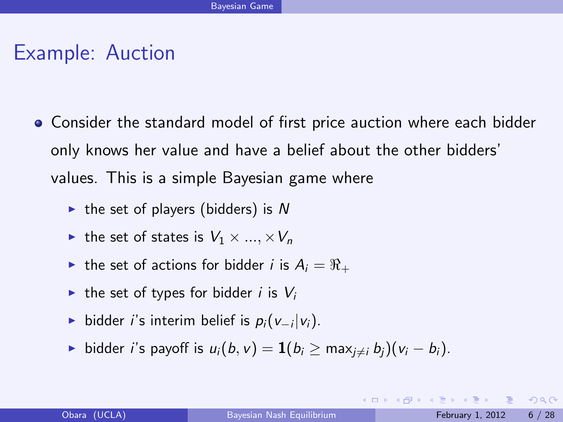#### Example: Auction

- **Consider the standard model of first price auction where each bidder** only knows her value and have a belief about the other bidders' values. This is a simple Bayesian game where
	- $\triangleright$  the set of players (bidders) is N
	- In the set of states is  $V_1 \times ... \times V_n$
	- In the set of actions for bidder i is  $A_i = \Re_+$
	- In the set of types for bidder i is  $V_i$
	- ► bidder *i*'s interim belief is  $p_i(v_{-i}|v_i)$ .
	- **•** bidder *i*'s payoff is  $u_i(b, v) = \mathbf{1}(b_i \ge \max_{i \ne i} b_i)(v_i b_i)$ .

- 3

 $QQQ$ 

 $\overline{AB}$   $\rightarrow$   $\overline{AB}$   $\rightarrow$   $\overline{AB}$   $\rightarrow$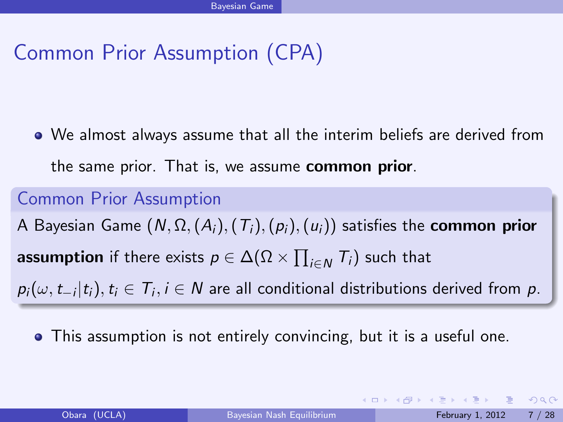# Common Prior Assumption (CPA)

We almost always assume that all the interim beliefs are derived from the same prior. That is, we assume **common prior**.

#### Common Prior Assumption

A Bayesian Game  $(N, \Omega, (A_i), (T_i), (p_i), (u_i))$  satisfies the **common prior**  $\boldsymbol{a}$ ssumption if there exists  $\rho \in \Delta(\Omega \times \prod_{i \in N} \mathcal{T}_i)$  such that

 $\rho_i(\omega, t_{-i} | t_i), t_i \in \mathcal{T}_i, i \in \mathcal{N}$  are all conditional distributions derived from  $\rho$ .

This assumption is not entirely convincing, but it is a useful one.

 $QQQ$ 

**≮ロト ⊀何ト ⊀ ヨト ∢ ヨト**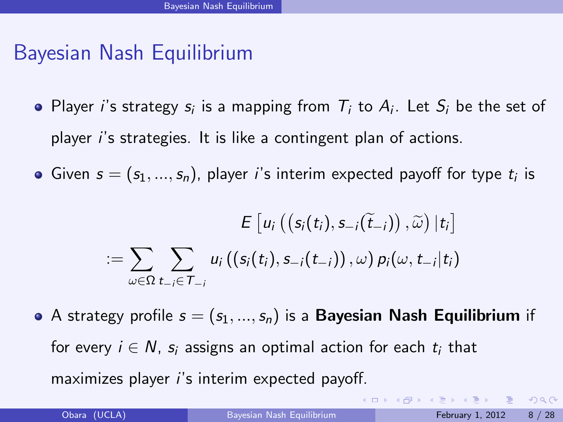# Bayesian Nash Equilibrium

- Player i's strategy  $s_i$  is a mapping from  $T_i$  to  $A_i$ . Let  $S_i$  be the set of player i's strategies. It is like a contingent plan of actions.
- Given  $s=(s_1,...,s_n)$ , player i's interim expected payoff for type  $t_i$  is

$$
E\left[u_i\left(\left(s_i(t_i), s_{-i}(\widetilde{t}_{-i})\right), \widetilde{\omega}\right) | t_i\right] \\ := \sum_{\omega \in \Omega} \sum_{t_{-i} \in \mathcal{T}_{-i}} u_i\left(\left(s_i(t_i), s_{-i}(t_{-i})\right), \omega\right) p_i(\omega, t_{-i}|t_i)
$$

A strategy profile  $s = (s_1, ..., s_n)$  is a Bayesian Nash Equilibrium if for every  $i \in N$ ,  $s_i$  assigns an optimal action for each  $t_i$  that maximizes player i's interim expected payoff.

**KOD KARD KED KED E VOOR**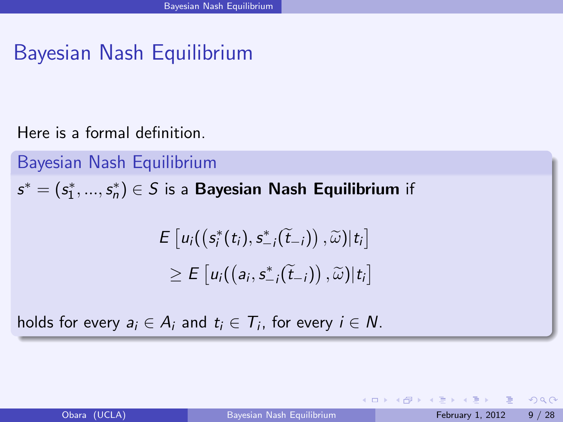# Bayesian Nash Equilibrium

Here is a formal definition.

Bayesian Nash Equilibrium  $s^* = (s_1^*,...,s_n^*) \in S$  is a Bayesian Nash Equilibrium if

$$
E [u_i((s_i^*(t_i), s_{-i}^*(\widetilde{t}_{-i})), \widetilde{\omega})|t_i]
$$
  
\n
$$
\geq E [u_i((a_i, s_{-i}^*(\widetilde{t}_{-i})), \widetilde{\omega})|t_i]
$$

holds for every  $a_i \in A_i$  and  $t_i \in T_i$ , for every  $i \in N$ .

 $\Omega$ 

 $4$  ロ }  $4$   $4$  }  $4$   $\equiv$  }  $4$   $\equiv$  }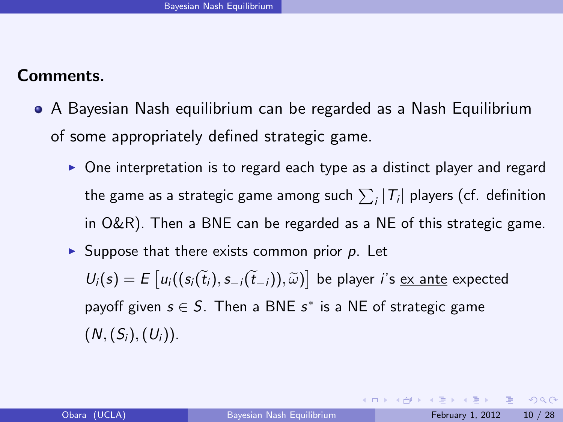#### Comments.

- A Bayesian Nash equilibrium can be regarded as a Nash Equilibrium of some appropriately defined strategic game.
	- $\triangleright$  One interpretation is to regard each type as a distinct player and regard the game as a strategic game among such  $\sum_i | \mathcal{T}_i |$  players (cf. definition in O&R). Then a BNE can be regarded as a NE of this strategic game.
	- $\triangleright$  Suppose that there exists common prior p. Let  $U_i(s) = E\left[u_i((s_i(\tilde{t}_i), s_{-i}(\tilde{t}_{-i})), \tilde{\omega})\right]$  be player *i*'s <u>ex ante</u> expected payoff given  $s \in S$ . Then a BNE  $s^*$  is a NE of strategic game  $(N,(S_i),(U_i)).$

**KOD KARD KED KED B YOUR**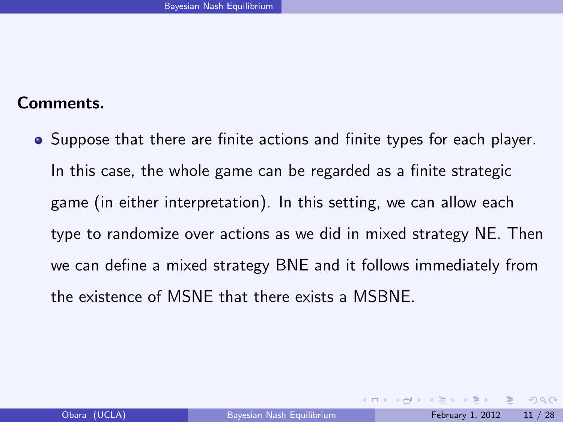#### Comments.

• Suppose that there are finite actions and finite types for each player. In this case, the whole game can be regarded as a finite strategic game (in either interpretation). In this setting, we can allow each type to randomize over actions as we did in mixed strategy NE. Then we can define a mixed strategy BNE and it follows immediately from the existence of MSNE that there exists a MSBNE.

<span id="page-10-0"></span>- E  $\Omega$ 

**The South Book**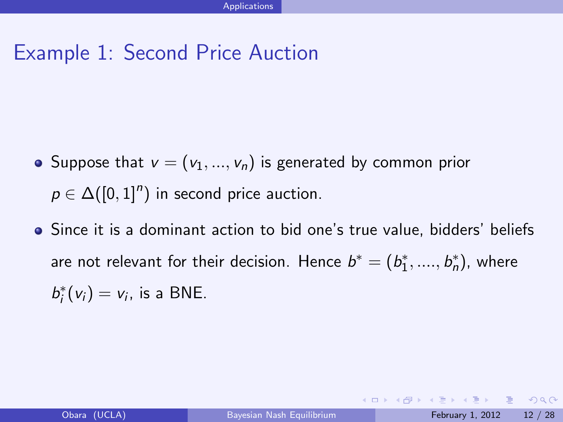# Example 1: Second Price Auction

- Suppose that  $v = (v_1, ..., v_n)$  is generated by common prior  $p \in \Delta([0,1]^n)$  in second price auction.
- Since it is a dominant action to bid one's true value, bidders' beliefs are not relevant for their decision. Hence  $b^* = (b_1^*,....,b_n^*)$ , where  $b_i^*(v_i) = v_i$ , is a BNE.

<span id="page-11-0"></span> $\Omega$ 

イロト イ部 トイ君 トイ君 ト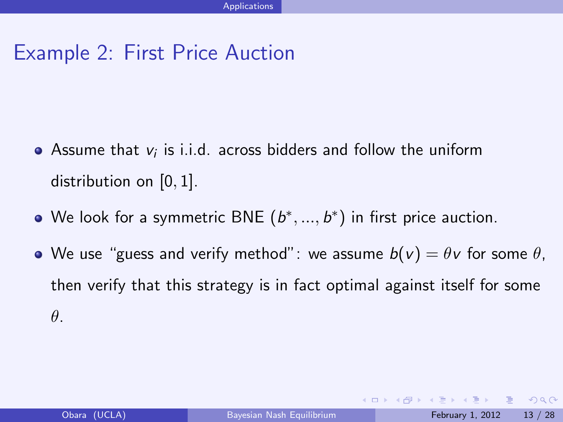- Assume that  $v_i$  is i.i.d. across bidders and follow the uniform distribution on  $[0, 1]$ .
- We look for a symmetric BNE  $(b^*,...,b^*)$  in first price auction.
- We use "guess and verify method": we assume  $b(v) = \theta v$  for some  $\theta$ , then verify that this strategy is in fact optimal against itself for some θ.

 $QQQ$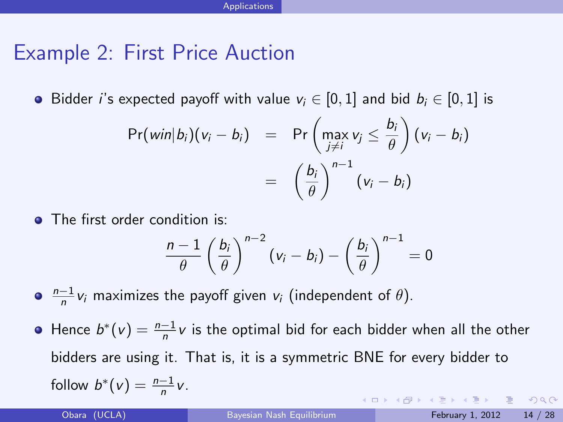**•** Bidder *i*'s expected payoff with value  $v_i \in [0, 1]$  and bid  $b_i \in [0, 1]$  is

$$
Pr(\text{win}|b_i)(v_i - b_i) = Pr\left(\max_{j \neq i} v_j \leq \frac{b_i}{\theta}\right)(v_i - b_i)
$$
  
= 
$$
\left(\frac{b_i}{\theta}\right)^{n-1} (v_i - b_i)
$$

• The first order condition is:

<span id="page-13-0"></span>
$$
\frac{n-1}{\theta}\left(\frac{b_i}{\theta}\right)^{n-2}\left(v_i-b_i\right)-\left(\frac{b_i}{\theta}\right)^{n-1}=0
$$

 $\frac{n-1}{n}$ v<sub>i</sub> maximizes the payoff given v<sub>i</sub> (independent of  $\theta$ ).

Hence  $b^*(v) = \frac{n-1}{n}v$  is the optimal bid for each bidder when all the other bidders are using it. That is, it is a symmetric BNE for every bidder to follow  $b^*(v) = \frac{n-1}{n}v$ . **KOD KARD KED KED E VOOR**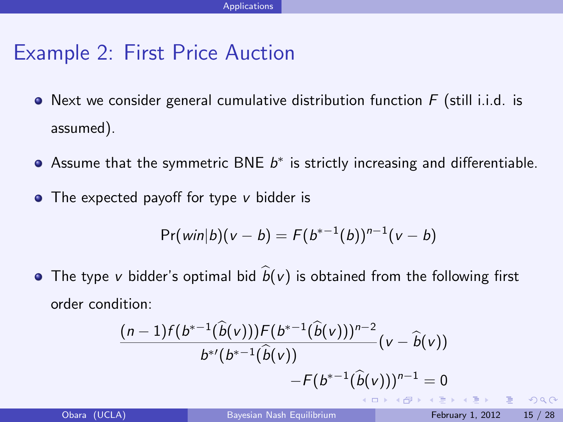- $\bullet$  Next we consider general cumulative distribution function  $F$  (still i.i.d. is assumed).
- Assume that the symmetric BNE  $b^*$  is strictly increasing and differentiable.
- $\bullet$  The expected payoff for type v bidder is

$$
Pr(\text{win}|b)(v - b) = F(b^{*-1}(b))^{n-1}(v - b)
$$

• The type v bidder's optimal bid  $\hat{b}(v)$  is obtained from the following first order condition:

$$
\frac{(n-1)f(b^{*-1}(\widehat{b}(v)))F(b^{*-1}(\widehat{b}(v)))^{n-2}}{b^{*'}(b^{*-1}(\widehat{b}(v))}(\nu - \widehat{b}(v))) - F(b^{*-1}(\widehat{b}(v)))^{n-1} = 0
$$

 $QQQ$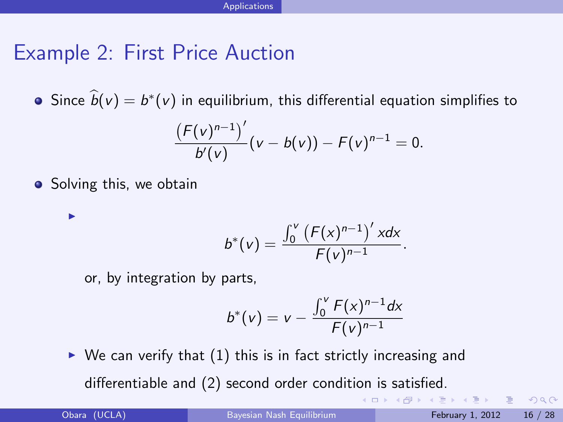Since  $b(v) = b^*(v)$  in equilibrium, this differential equation simplifies to

$$
\frac{(F(v)^{n-1})'}{b'(v)}(v-b(v))-F(v)^{n-1}=0.
$$

• Solving this, we obtain

I

$$
b^{*}(v) = \frac{\int_{0}^{v} (F(x)^{n-1})' x dx}{F(v)^{n-1}}.
$$

or, by integration by parts,

$$
b^{*}(v) = v - \frac{\int_{0}^{v} F(x)^{n-1} dx}{F(v)^{n-1}}
$$

 $\triangleright$  We can verify that (1) this is in fact strictly increasing and differentiable and (2) second order condition is satisfied.

Obara (UCLA) [Bayesian Nash Equilibrium](#page-0-0) February 1, 2012 16 / 28

 $OQ$ 

KONKAPIK KENYEN E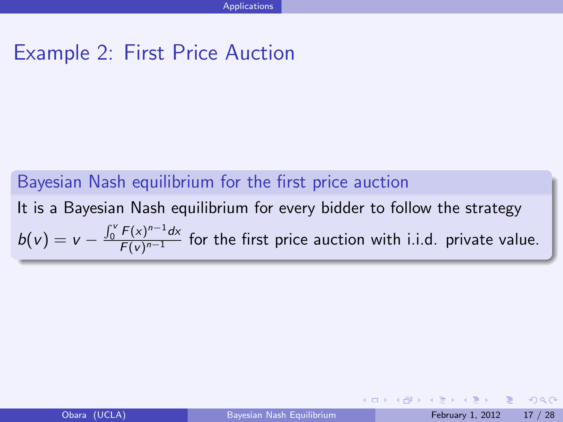#### Bayesian Nash equilibrium for the first price auction It is a Bayesian Nash equilibrium for every bidder to follow the strategy  $b(v) = v - \frac{\int_0^v F(x)^{n-1} dx}{F(v)^{n-1}}$  $\frac{F(x)}{F(y)^{n-1}}$  for the first price auction with i.i.d. private value.

 $QQQ$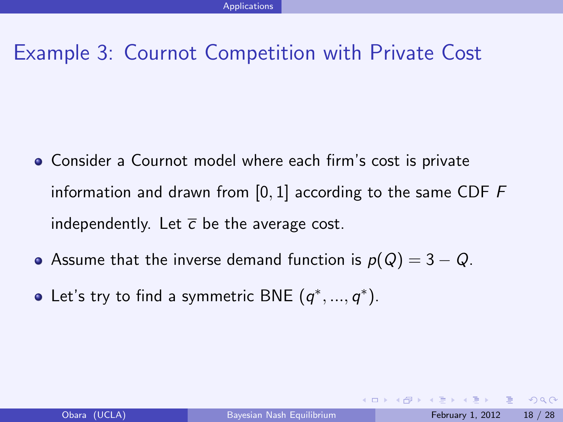# Example 3: Cournot Competition with Private Cost

- Consider a Cournot model where each firm's cost is private information and drawn from  $[0, 1]$  according to the same CDF  $F$ independently. Let  $\bar{c}$  be the average cost.
- Assume that the inverse demand function is  $p(Q) = 3 Q$ .
- Let's try to find a symmetric BNE  $(q^*,...,q^*)$ .

 $QQQ$ 

**≮ロト ⊀ 何 ト ⊀ ヨ ト ∢ ヨ**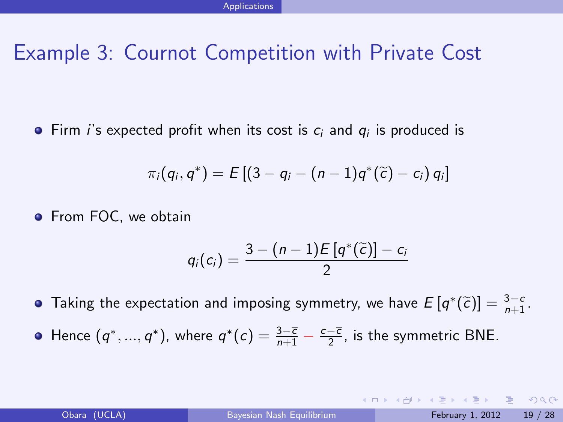# Example 3: Cournot Competition with Private Cost

Firm *i*'s expected profit when its cost is  $c_i$  and  $q_i$  is produced is

$$
\pi_i(q_i, q^*) = E [(3 - q_i - (n - 1)q^*(\widetilde{c}) - c_i) q_i]
$$

**•** From FOC, we obtain

$$
q_i(c_i) = \frac{3-(n-1)E\left[q^*(\widetilde{c})\right]-c_i}{2}
$$

Taking the expectation and imposing symmetry, we have  $E\left[q^*(\widetilde{c})\right] = \frac{3-\overline{c}}{n+1}$ .

Hence  $(q^*,...,q^*)$ , where  $q^*(c) = \frac{3-\overline{c}}{n+1} - \frac{c-\overline{c}}{2}$ , is the symmetric BNE.

K ロ ▶ K 個 ▶ K 로 ▶ K 로 ▶ 『 콘 』 900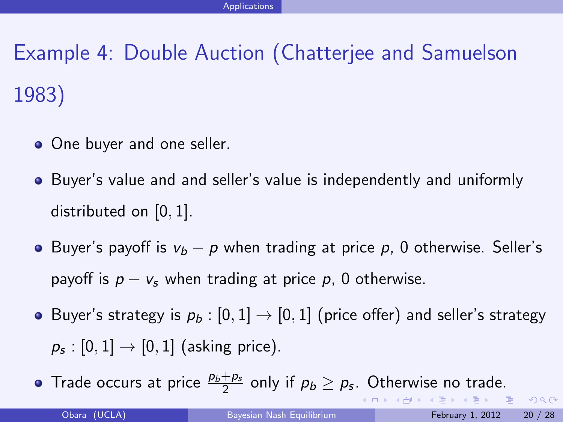Example 4: Double Auction (Chatterjee and Samuelson 1983)

- One buyer and one seller.
- Buyer's value and and seller's value is independently and uniformly distributed on [0, 1].
- **•** Buyer's payoff is  $v_b p$  when trading at price p, 0 otherwise. Seller's payoff is  $p - v_s$  when trading at price p, 0 otherwise.
- Buyer's strategy is  $p_b : [0, 1] \rightarrow [0, 1]$  (price offer) and seller's strategy  $\rho_{\mathfrak{s}}:[0,1]\to[0,1]$  (asking price).
- Trade occurs at price  $\frac{p_b+p_s}{2}$  only if  $p_b\geq p_s$ . Otherwise no trade. **Single**

**≮ロト ⊀何ト ⊀ ヨト ∢ ヨト** 

 $ORO$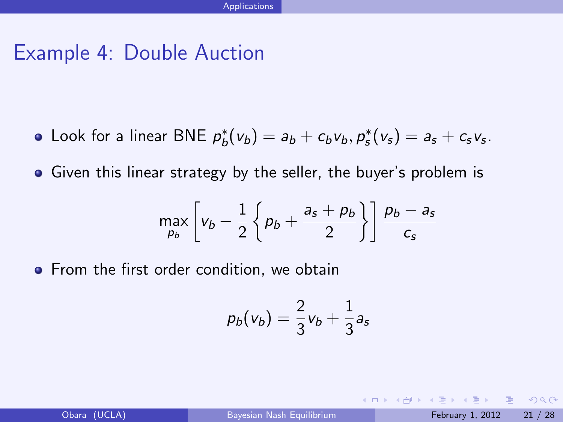- Look for a linear BNE  $p_b^*(v_b) = a_b + c_b v_b, p_s^*(v_s) = a_s + c_s v_s$ .
- Given this linear strategy by the seller, the buyer's problem is

$$
\max_{p_b}\left[v_b-\frac{1}{2}\left\{p_b+\frac{a_s+p_b}{2}\right\}\right]\frac{p_b-a_s}{c_s}
$$

**•** From the first order condition, we obtain

$$
\displaystyle \rho_b({\mathsf{v}}_b) = \frac{2}{3}{\mathsf{v}}_b + \frac{1}{3}{\mathsf{a}}_{\mathsf{s}}
$$

Obara (UCLA) [Bayesian Nash Equilibrium](#page-0-0) February 1, 2012 21 / 28

 $\Omega$ ÷

イロト イ押ト イヨト イヨ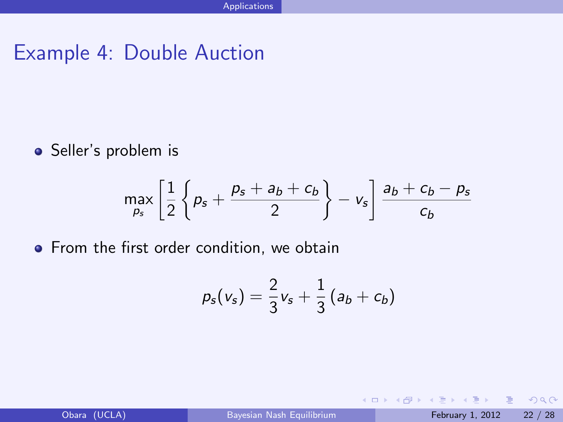• Seller's problem is

$$
\max_{p_s}\left[\frac{1}{2}\left\{p_s+\frac{p_s+a_b+c_b}{2}\right\}-v_s\right]\frac{a_b+c_b-p_s}{c_b}
$$

• From the first order condition, we obtain

$$
p_s(v_s) = \frac{2}{3}v_s + \frac{1}{3}(a_b + c_b)
$$

目

 $QQ$ 

**≮ロト ⊀伊 ▶ ⊀ ヨ ▶ ⊀ ヨ ▶**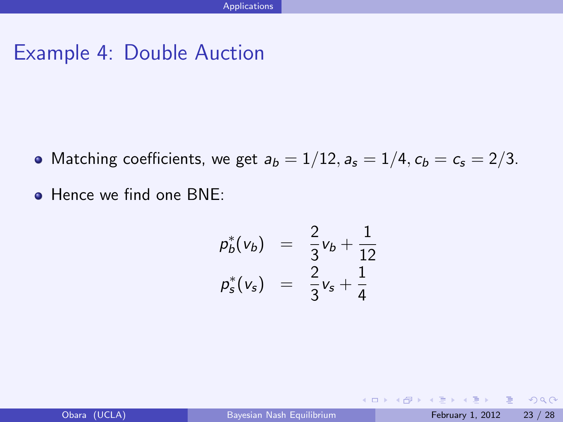- Matching coefficients, we get  $a_b = 1/12$ ,  $a_s = 1/4$ ,  $c_b = c_s = 2/3$ .
- Hence we find one BNE:

$$
p_b^*(v_b) = \frac{2}{3}v_b + \frac{1}{12}v_b^2
$$
  

$$
p_s^*(v_s) = \frac{2}{3}v_s + \frac{1}{4}
$$

- 3

 $\Omega$ 

イロト イ母 トイラト イラト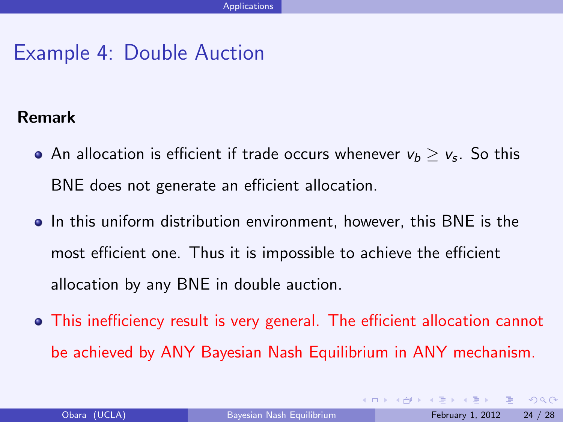#### Remark

- An allocation is efficient if trade occurs whenever  $\mathsf{v}_b \geq \mathsf{v}_\mathsf{s}.$  So this BNE does not generate an efficient allocation.
- In this uniform distribution environment, however, this BNE is the most efficient one. Thus it is impossible to achieve the efficient allocation by any BNE in double auction.
- This inefficiency result is very general. The efficient allocation cannot be achieved by ANY Bayesian Nash Equilibrium in ANY mechanism.

 $\Omega$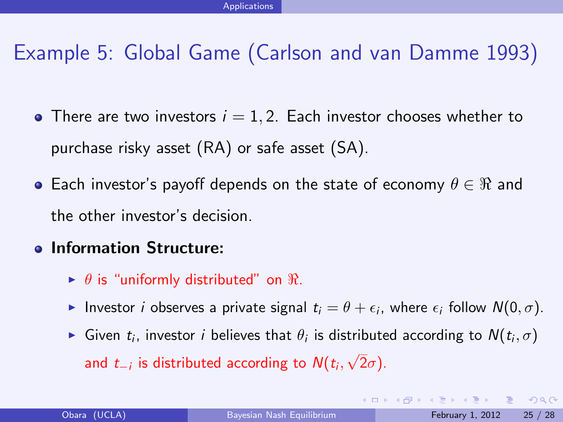# Example 5: Global Game (Carlson and van Damme 1993)

- There are two investors  $i = 1, 2$ . Each investor chooses whether to purchase risky asset (RA) or safe asset (SA).
- **•** Each investor's payoff depends on the state of economy  $\theta \in \Re$  and the other investor's decision.
- **Information Structure:** 
	- $\blacktriangleright$   $\theta$  is "uniformly distributed" on  $\Re$ .
	- Investor *i* observes a private signal  $t_i = \theta + \epsilon_i$ , where  $\epsilon_i$  follow  $N(0, \sigma)$ .
	- ► Given  $t_i$ , investor  $i$  believes that  $\theta_i$  is distributed according to  $N(t_i, \sigma)$ and  $t_{-i}$  is distributed according to  $\mathcal{N}(t_i,$ √  $2\sigma$ ).

- 3

<span id="page-24-0"></span> $QQQ$ 

 $4$  ロ }  $4$   $4$  }  $4$   $\equiv$  }  $4$   $\equiv$  }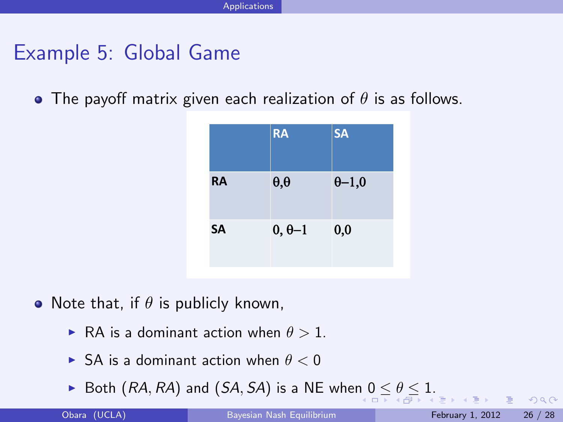#### Example 5: Global Game

• The payoff matrix given each realization of  $\theta$  is as follows.

|           | <b>RA</b>        | <b>SA</b>      |
|-----------|------------------|----------------|
| <b>RA</b> | $\theta, \theta$ | $\theta - 1,0$ |
| <b>SA</b> | $0, \theta -1$   | 0,0            |

- Note that, if  $\theta$  is publicly known,
	- **RA** is a dominant action when  $\theta > 1$ .
	- $\triangleright$  SA is a dominant action when  $\theta < 0$
	- Both  $(RA, RA)$  and  $(SA, SA)$  is a NE when  $0 \le \theta \le 1$ .

<span id="page-25-0"></span> $QQ$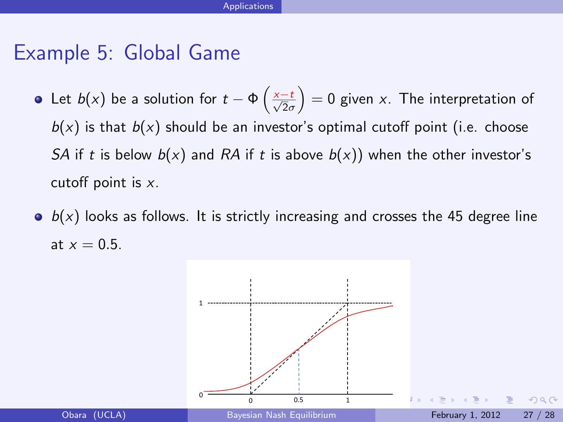#### Example 5: Global Game

- Let  $b(x)$  be a solution for  $t-\Phi\left(\frac{x-t}{\sqrt{2}\sigma}\right)=0$  given  $x$ . The interpretation of  $b(x)$  is that  $b(x)$  should be an investor's optimal cutoff point (i.e. choose SA if t is below  $b(x)$  and RA if t is above  $b(x)$ ) when the other investor's cutoff point is x.
- $\bullet$   $b(x)$  looks as follows. It is strictly increasing and crosses the 45 degree line at  $x = 0.5$ .

<span id="page-26-0"></span>